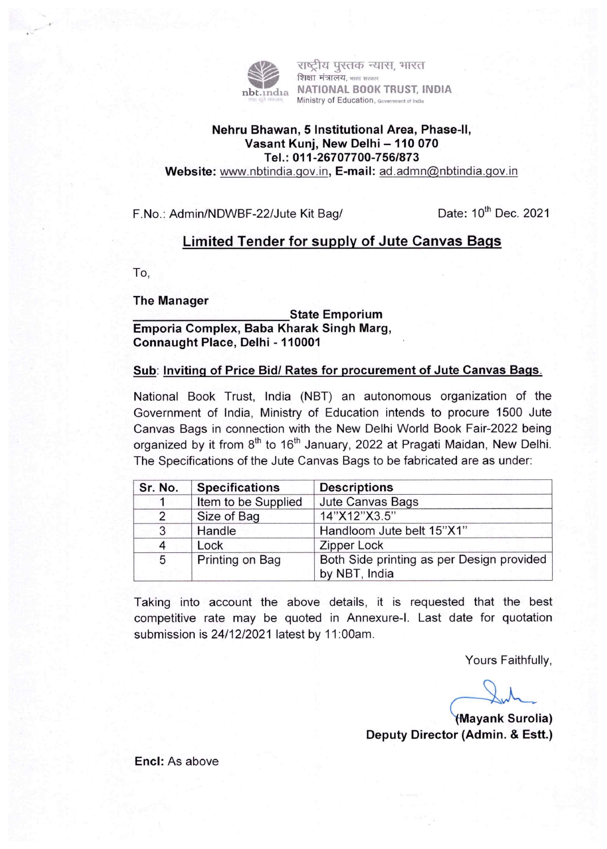

राष्टीय पस्तक न्यास. भारत शिक्षा मंत्रालय, <sub>भारत सरकार</sub> NATIONAL BOOK TRUST, INDIA Ministry of Education, Government of India

## Nehru Bhawan, 5 Institutional Area, Phase-lI, Vasant Kunj, New Delhi - 110 070 Tel. : 011 -26707700-756/873

Website: www.nbtindia.gov.in, E-mail: ad.admn@nbtindia.gov.in

F.No.: Admin/NDWBF-22/Jute Kit Bag/ Date: 10<sup>th</sup> Dec. 2021

# Limited Tender for supply of Jute Canvas Bags

TO,

The Manager

State Emporium Emporia Complex, Baba Kharak Singh Marg, Connaught Place, Delhi -110001

### Sub: Inviting of Price Bid/ Rates for procurement of Jute Canvas Bags.

National Book Trust, India (NBT) an autonomous organization of the Government of India, Ministry of Education intends to procure 1500 Jute Canvas Bags in connection with the New Delhi World Book Fair-2022 being organized by it from  $8<sup>th</sup>$  to 16<sup>th</sup> January, 2022 at Pragati Maidan, New Delhi. The Specifications of the Jute Canvas Bags to be fabricated are as under:

| Sr. No. | <b>Specifications</b> | <b>Descriptions</b><br>Jute Canvas Bags                    |  |  |  |  |  |  |
|---------|-----------------------|------------------------------------------------------------|--|--|--|--|--|--|
|         | Item to be Supplied   |                                                            |  |  |  |  |  |  |
| 2       | Size of Bag           | 14"X12"X3.5"                                               |  |  |  |  |  |  |
| 3       | Handle                | Handloom Jute belt 15"X1"                                  |  |  |  |  |  |  |
|         | Lock                  | <b>Zipper Lock</b>                                         |  |  |  |  |  |  |
| 5       | Printing on Bag       | Both Side printing as per Design provided<br>by NBT, India |  |  |  |  |  |  |

Taking into account the above details, it is requested that the best competitive rate may be quoted in Annexure-I. Last date for quotation submission is 24/12/2021 latest by 11:00am.

Yours Faithfully,

(Mayank Surolia) Deputy Director (Admin. & Estt.)

Encl: As above